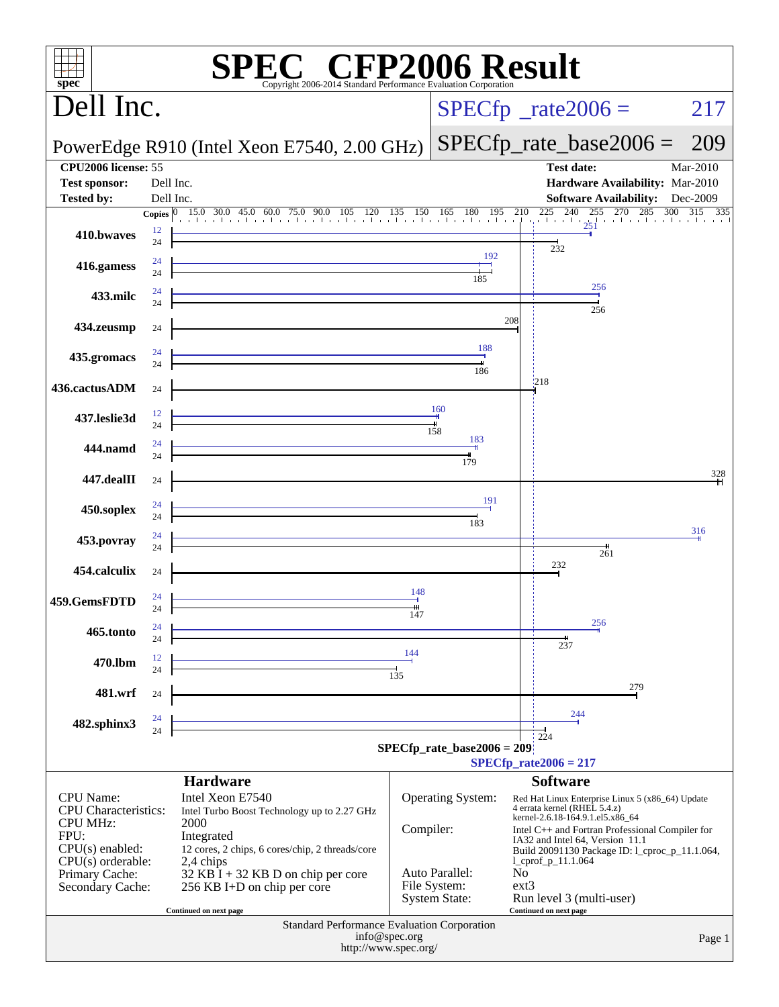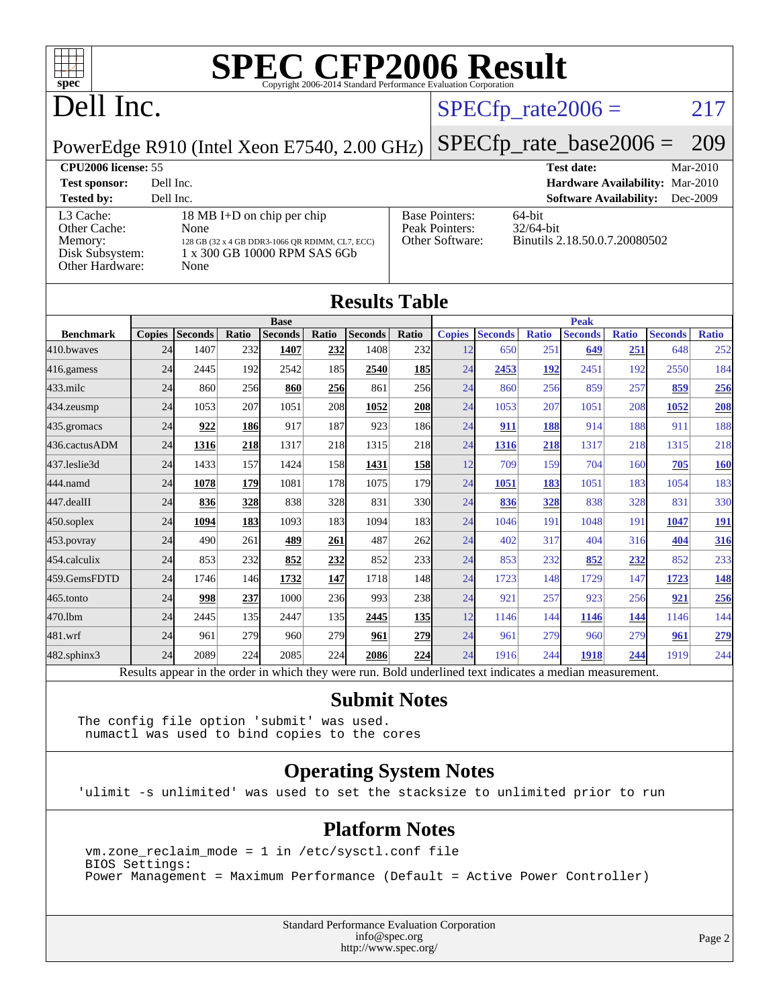

# **[SPEC CFP2006 Result](http://www.spec.org/auto/cpu2006/Docs/result-fields.html#SPECCFP2006Result)**

## Dell Inc.

#### $SPECTp_rate2006 = 217$

[Other Software:](http://www.spec.org/auto/cpu2006/Docs/result-fields.html#OtherSoftware) Binutils 2.18.50.0.7.20080502

[Base Pointers:](http://www.spec.org/auto/cpu2006/Docs/result-fields.html#BasePointers) 64-bit<br>Peak Pointers: 32/64-bit

[Peak Pointers:](http://www.spec.org/auto/cpu2006/Docs/result-fields.html#PeakPointers)

PowerEdge R910 (Intel Xeon E7540, 2.00 GHz)

[SPECfp\\_rate\\_base2006 =](http://www.spec.org/auto/cpu2006/Docs/result-fields.html#SPECfpratebase2006) 209 **[CPU2006 license:](http://www.spec.org/auto/cpu2006/Docs/result-fields.html#CPU2006license)** 55 **[Test date:](http://www.spec.org/auto/cpu2006/Docs/result-fields.html#Testdate)** Mar-2010 **[Test sponsor:](http://www.spec.org/auto/cpu2006/Docs/result-fields.html#Testsponsor)** Dell Inc. **[Hardware Availability:](http://www.spec.org/auto/cpu2006/Docs/result-fields.html#HardwareAvailability)** Mar-2010 **[Tested by:](http://www.spec.org/auto/cpu2006/Docs/result-fields.html#Testedby)** Dell Inc. **[Software Availability:](http://www.spec.org/auto/cpu2006/Docs/result-fields.html#SoftwareAvailability)** Dec-2009

| <b>Tested by:</b> | Dell Inc.                                       |
|-------------------|-------------------------------------------------|
| L3 Cache:         | 18 MB I+D on chip per chip                      |
| Other Cache:      | None                                            |
| Memory:           | 128 GB (32 x 4 GB DDR3-1066 OR RDIMM, CL7, ECC) |
| Disk Subsystem:   | 1 x 300 GB 10000 RPM SAS 6Gb                    |
| Other Hardware:   | None                                            |
|                   |                                                 |

| <b>Results Table</b> |               |                                                                                                                      |                                                               |                                     |       |                                                                                      |             |                                                                                                                                             |                |                                                 |                                                                 |                                                 |                                                                                                                                                                                                  |
|----------------------|---------------|----------------------------------------------------------------------------------------------------------------------|---------------------------------------------------------------|-------------------------------------|-------|--------------------------------------------------------------------------------------|-------------|---------------------------------------------------------------------------------------------------------------------------------------------|----------------|-------------------------------------------------|-----------------------------------------------------------------|-------------------------------------------------|--------------------------------------------------------------------------------------------------------------------------------------------------------------------------------------------------|
| <b>Base</b>          |               |                                                                                                                      |                                                               |                                     |       |                                                                                      | <b>Peak</b> |                                                                                                                                             |                |                                                 |                                                                 |                                                 |                                                                                                                                                                                                  |
|                      |               |                                                                                                                      |                                                               |                                     |       |                                                                                      |             |                                                                                                                                             |                |                                                 |                                                                 |                                                 | <b>Ratio</b>                                                                                                                                                                                     |
|                      | 1407          | 232                                                                                                                  | 1407                                                          | 232                                 | 1408  | 232                                                                                  | 12          | 650                                                                                                                                         | 251            | 649                                             | 251                                                             | 648                                             | 252                                                                                                                                                                                              |
|                      | 2445          | 192                                                                                                                  | 2542                                                          | 185                                 | 2540  |                                                                                      | 24          | 2453                                                                                                                                        | 192            | 2451                                            |                                                                 | 2550                                            | 184                                                                                                                                                                                              |
|                      | 860           |                                                                                                                      | 860                                                           |                                     | 861   |                                                                                      | 24          | 860                                                                                                                                         |                | 859                                             |                                                                 | 859                                             | 256                                                                                                                                                                                              |
|                      | 1053          | 207                                                                                                                  | 1051                                                          |                                     | 1052  |                                                                                      | 24          | 1053                                                                                                                                        | 207            | 1051                                            |                                                                 | 1052                                            | 208                                                                                                                                                                                              |
|                      | 922           |                                                                                                                      | 917                                                           | 187                                 | 923   |                                                                                      | 24          | 911                                                                                                                                         |                | 914                                             |                                                                 | 911                                             | 188                                                                                                                                                                                              |
|                      | 1316          |                                                                                                                      | 1317                                                          |                                     | 1315  |                                                                                      | 24          | 1316                                                                                                                                        |                | 1317                                            |                                                                 | 1315                                            | 218                                                                                                                                                                                              |
|                      | 1433          | 157                                                                                                                  | 1424                                                          |                                     | 1431  |                                                                                      | 12          | 709                                                                                                                                         |                | 704                                             |                                                                 | 705                                             | <b>160</b>                                                                                                                                                                                       |
|                      | 1078          |                                                                                                                      | 1081                                                          |                                     | 1075  |                                                                                      | 24          | 1051                                                                                                                                        |                | 1051                                            |                                                                 | 1054                                            | 183                                                                                                                                                                                              |
|                      | 836           |                                                                                                                      | 838                                                           |                                     | 831   |                                                                                      | 24          | 836                                                                                                                                         |                | 838                                             |                                                                 | 831                                             | 330                                                                                                                                                                                              |
|                      | 1094          |                                                                                                                      | 1093                                                          | 183                                 | 1094  | 183                                                                                  | 24          | 1046                                                                                                                                        | 191            | 1048                                            | 191                                                             | 1047                                            | <u>191</u>                                                                                                                                                                                       |
|                      | 490           | 261                                                                                                                  | 489                                                           | 261                                 | 487   | 262                                                                                  | 24          | 402                                                                                                                                         |                | 404                                             |                                                                 | 404                                             | 316                                                                                                                                                                                              |
|                      | 853           |                                                                                                                      | 852                                                           |                                     | 852   |                                                                                      | 24          | 853                                                                                                                                         |                | 852                                             |                                                                 | 852                                             | 233                                                                                                                                                                                              |
|                      | 1746          |                                                                                                                      | 1732                                                          | 147                                 | 1718  |                                                                                      | 24          | 1723                                                                                                                                        |                | 1729                                            |                                                                 | 1723                                            | <b>148</b>                                                                                                                                                                                       |
|                      | 998           |                                                                                                                      | 1000                                                          |                                     | 993   |                                                                                      | 24          | 921                                                                                                                                         | 257            | 923                                             |                                                                 | 921                                             | 256                                                                                                                                                                                              |
|                      | 2445          |                                                                                                                      | 2447                                                          | 135                                 | 2445  |                                                                                      | 12          | 1146                                                                                                                                        |                | 1146                                            |                                                                 | 1146                                            | 144                                                                                                                                                                                              |
|                      | 961           |                                                                                                                      | 960                                                           |                                     | 961   | 279                                                                                  | 24          | 961                                                                                                                                         |                | 960                                             |                                                                 | 961                                             | 279                                                                                                                                                                                              |
|                      | 2089          | 224                                                                                                                  | 2085                                                          |                                     | 2086  | 224                                                                                  | 24          | 1916                                                                                                                                        |                | 1918                                            |                                                                 | 1919                                            | 244                                                                                                                                                                                              |
|                      | <b>Copies</b> | <b>Seconds</b><br>24<br>24<br>24<br>24<br>24<br>24<br>24<br>24<br>24<br>24<br>24<br>24<br>24<br>24<br>24<br>24<br>24 | Ratio<br>186<br>179<br>328<br>183<br>232<br>237<br>135<br>279 | <b>Seconds</b><br>256<br>218<br>146 | Ratio | <b>Seconds</b><br>256<br>208<br>218<br>158<br>178<br>328<br>232<br>236<br>279<br>224 | Ratio       | <b>Copies</b><br><u>185</u><br>256<br><b>208</b><br>186<br>218<br><b>158</b><br><b>179</b><br>330<br>233<br>148<br><b>238</b><br><u>135</u> | <b>Seconds</b> | <b>Ratio</b><br>183<br>317<br>232<br>144<br>244 | <b>Seconds</b><br>256<br>188<br>218<br>159<br>328<br>148<br>279 | <b>Ratio</b><br>192<br>257<br>160<br>183<br>147 | <b>Seconds</b><br>208<br>188<br>218<br>328<br>316<br>232<br>256<br>144<br>279<br>244<br>Results appear in the order in which they were run. Bold underlined text indicates a median measurement. |

#### **[Submit Notes](http://www.spec.org/auto/cpu2006/Docs/result-fields.html#SubmitNotes)**

The config file option 'submit' was used. numactl was used to bind copies to the cores

#### **[Operating System Notes](http://www.spec.org/auto/cpu2006/Docs/result-fields.html#OperatingSystemNotes)**

'ulimit -s unlimited' was used to set the stacksize to unlimited prior to run

#### **[Platform Notes](http://www.spec.org/auto/cpu2006/Docs/result-fields.html#PlatformNotes)**

 vm.zone\_reclaim\_mode = 1 in /etc/sysctl.conf file BIOS Settings: Power Management = Maximum Performance (Default = Active Power Controller)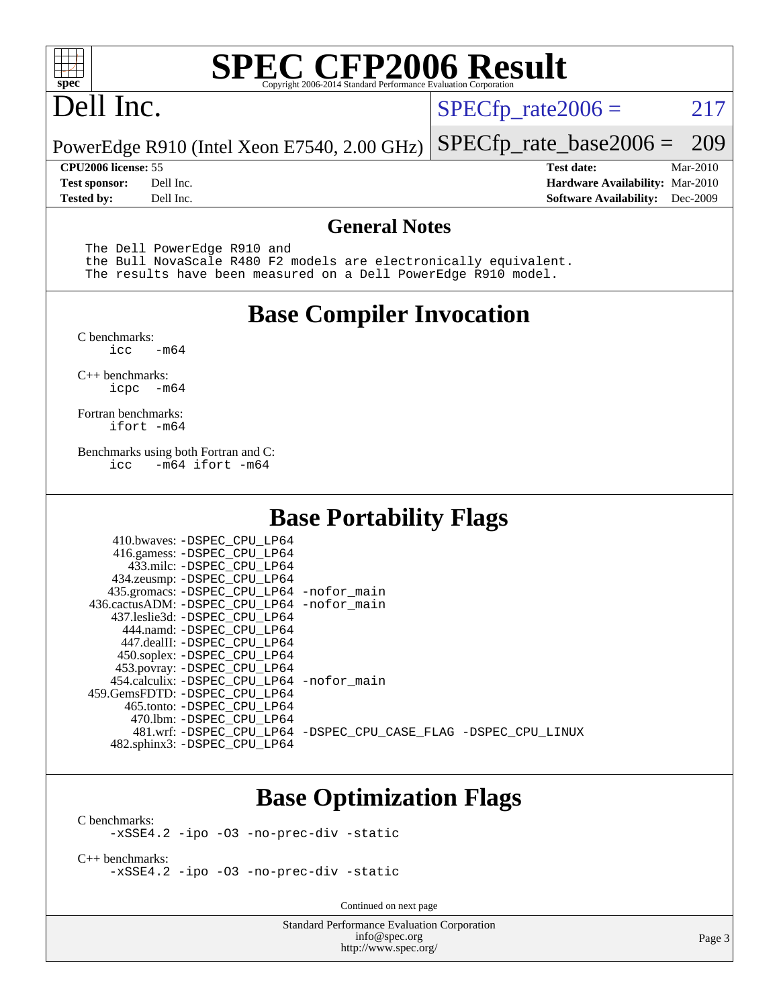

## Dell Inc.

 $SPECTp_rate2006 = 217$ 

PowerEdge R910 (Intel Xeon E7540, 2.00 GHz) [SPECfp\\_rate\\_base2006 =](http://www.spec.org/auto/cpu2006/Docs/result-fields.html#SPECfpratebase2006) 209

**[Tested by:](http://www.spec.org/auto/cpu2006/Docs/result-fields.html#Testedby)** Dell Inc. **[Software Availability:](http://www.spec.org/auto/cpu2006/Docs/result-fields.html#SoftwareAvailability)** Dec-2009

**[CPU2006 license:](http://www.spec.org/auto/cpu2006/Docs/result-fields.html#CPU2006license)** 55 **[Test date:](http://www.spec.org/auto/cpu2006/Docs/result-fields.html#Testdate)** Mar-2010 **[Test sponsor:](http://www.spec.org/auto/cpu2006/Docs/result-fields.html#Testsponsor)** Dell Inc. **[Hardware Availability:](http://www.spec.org/auto/cpu2006/Docs/result-fields.html#HardwareAvailability)** Mar-2010

#### **[General Notes](http://www.spec.org/auto/cpu2006/Docs/result-fields.html#GeneralNotes)**

The Dell PowerEdge R910 and

 the Bull NovaScale R480 F2 models are electronically equivalent. The results have been measured on a Dell PowerEdge R910 model.

#### **[Base Compiler Invocation](http://www.spec.org/auto/cpu2006/Docs/result-fields.html#BaseCompilerInvocation)**

[C benchmarks](http://www.spec.org/auto/cpu2006/Docs/result-fields.html#Cbenchmarks):  $-m64$ 

[C++ benchmarks:](http://www.spec.org/auto/cpu2006/Docs/result-fields.html#CXXbenchmarks) [icpc -m64](http://www.spec.org/cpu2006/results/res2010q3/cpu2006-20100621-11920.flags.html#user_CXXbase_intel_icpc_64bit_bedb90c1146cab66620883ef4f41a67e)

[Fortran benchmarks](http://www.spec.org/auto/cpu2006/Docs/result-fields.html#Fortranbenchmarks): [ifort -m64](http://www.spec.org/cpu2006/results/res2010q3/cpu2006-20100621-11920.flags.html#user_FCbase_intel_ifort_64bit_ee9d0fb25645d0210d97eb0527dcc06e)

[Benchmarks using both Fortran and C](http://www.spec.org/auto/cpu2006/Docs/result-fields.html#BenchmarksusingbothFortranandC): [icc -m64](http://www.spec.org/cpu2006/results/res2010q3/cpu2006-20100621-11920.flags.html#user_CC_FCbase_intel_icc_64bit_0b7121f5ab7cfabee23d88897260401c) [ifort -m64](http://www.spec.org/cpu2006/results/res2010q3/cpu2006-20100621-11920.flags.html#user_CC_FCbase_intel_ifort_64bit_ee9d0fb25645d0210d97eb0527dcc06e)

### **[Base Portability Flags](http://www.spec.org/auto/cpu2006/Docs/result-fields.html#BasePortabilityFlags)**

| 410.bwaves: -DSPEC CPU LP64<br>416.gamess: -DSPEC_CPU_LP64<br>433.milc: -DSPEC CPU LP64<br>434.zeusmp: -DSPEC_CPU_LP64<br>435.gromacs: -DSPEC_CPU_LP64 -nofor_main<br>436.cactusADM: -DSPEC CPU LP64 -nofor main<br>437.leslie3d: -DSPEC_CPU LP64 |                                                                |
|---------------------------------------------------------------------------------------------------------------------------------------------------------------------------------------------------------------------------------------------------|----------------------------------------------------------------|
| 444.namd: -DSPEC CPU LP64<br>447.dealII: -DSPEC_CPU LP64                                                                                                                                                                                          |                                                                |
| 450.soplex: -DSPEC_CPU_LP64<br>453.povray: -DSPEC_CPU_LP64                                                                                                                                                                                        |                                                                |
| 454.calculix: - DSPEC CPU LP64 - nofor main<br>459.GemsFDTD: -DSPEC_CPU LP64                                                                                                                                                                      |                                                                |
| 465.tonto: - DSPEC_CPU LP64<br>470.1bm: - DSPEC CPU LP64<br>482.sphinx3: -DSPEC_CPU_LP64                                                                                                                                                          | 481.wrf: -DSPEC CPU_LP64 -DSPEC_CPU_CASE_FLAG -DSPEC_CPU_LINUX |

### **[Base Optimization Flags](http://www.spec.org/auto/cpu2006/Docs/result-fields.html#BaseOptimizationFlags)**

[C benchmarks](http://www.spec.org/auto/cpu2006/Docs/result-fields.html#Cbenchmarks): [-xSSE4.2](http://www.spec.org/cpu2006/results/res2010q3/cpu2006-20100621-11920.flags.html#user_CCbase_f-xSSE42_f91528193cf0b216347adb8b939d4107) [-ipo](http://www.spec.org/cpu2006/results/res2010q3/cpu2006-20100621-11920.flags.html#user_CCbase_f-ipo) [-O3](http://www.spec.org/cpu2006/results/res2010q3/cpu2006-20100621-11920.flags.html#user_CCbase_f-O3) [-no-prec-div](http://www.spec.org/cpu2006/results/res2010q3/cpu2006-20100621-11920.flags.html#user_CCbase_f-no-prec-div) [-static](http://www.spec.org/cpu2006/results/res2010q3/cpu2006-20100621-11920.flags.html#user_CCbase_f-static)

[C++ benchmarks:](http://www.spec.org/auto/cpu2006/Docs/result-fields.html#CXXbenchmarks) [-xSSE4.2](http://www.spec.org/cpu2006/results/res2010q3/cpu2006-20100621-11920.flags.html#user_CXXbase_f-xSSE42_f91528193cf0b216347adb8b939d4107) [-ipo](http://www.spec.org/cpu2006/results/res2010q3/cpu2006-20100621-11920.flags.html#user_CXXbase_f-ipo) [-O3](http://www.spec.org/cpu2006/results/res2010q3/cpu2006-20100621-11920.flags.html#user_CXXbase_f-O3) [-no-prec-div](http://www.spec.org/cpu2006/results/res2010q3/cpu2006-20100621-11920.flags.html#user_CXXbase_f-no-prec-div) [-static](http://www.spec.org/cpu2006/results/res2010q3/cpu2006-20100621-11920.flags.html#user_CXXbase_f-static)

Continued on next page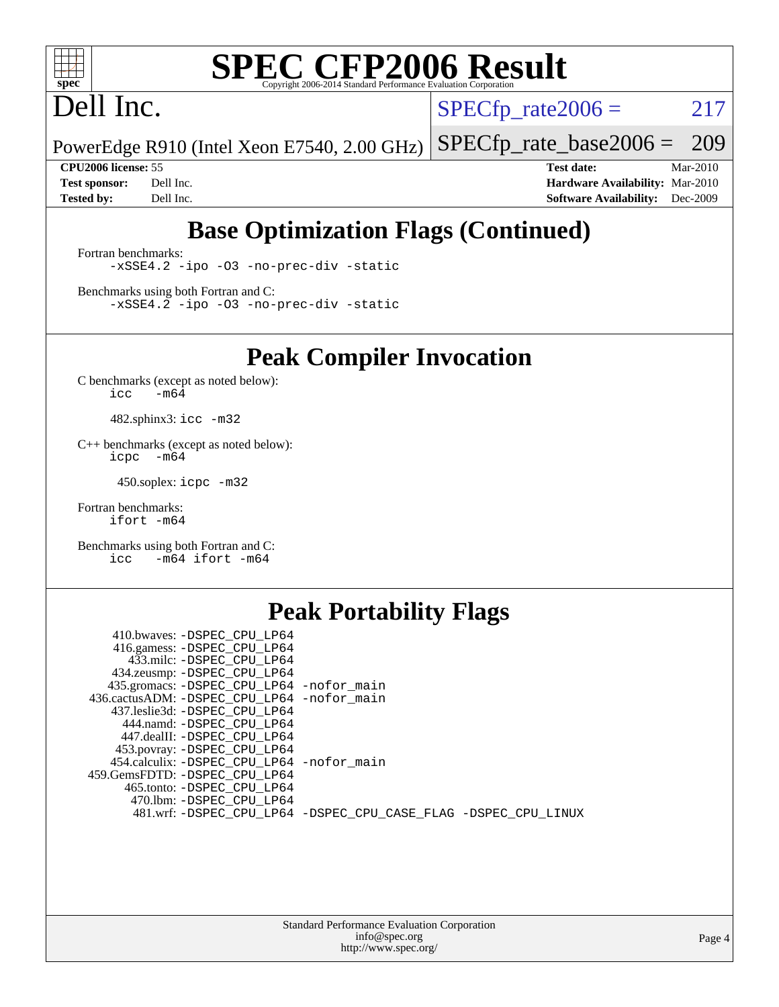

## Dell Inc.

 $SPECTp_rate2006 = 217$ 

PowerEdge R910 (Intel Xeon E7540, 2.00 GHz) [SPECfp\\_rate\\_base2006 =](http://www.spec.org/auto/cpu2006/Docs/result-fields.html#SPECfpratebase2006) 209

**[CPU2006 license:](http://www.spec.org/auto/cpu2006/Docs/result-fields.html#CPU2006license)** 55 **[Test date:](http://www.spec.org/auto/cpu2006/Docs/result-fields.html#Testdate)** Mar-2010 **[Test sponsor:](http://www.spec.org/auto/cpu2006/Docs/result-fields.html#Testsponsor)** Dell Inc. **[Hardware Availability:](http://www.spec.org/auto/cpu2006/Docs/result-fields.html#HardwareAvailability)** Mar-2010 **[Tested by:](http://www.spec.org/auto/cpu2006/Docs/result-fields.html#Testedby)** Dell Inc. **[Software Availability:](http://www.spec.org/auto/cpu2006/Docs/result-fields.html#SoftwareAvailability)** Dec-2009

### **[Base Optimization Flags \(Continued\)](http://www.spec.org/auto/cpu2006/Docs/result-fields.html#BaseOptimizationFlags)**

[Fortran benchmarks](http://www.spec.org/auto/cpu2006/Docs/result-fields.html#Fortranbenchmarks): [-xSSE4.2](http://www.spec.org/cpu2006/results/res2010q3/cpu2006-20100621-11920.flags.html#user_FCbase_f-xSSE42_f91528193cf0b216347adb8b939d4107) [-ipo](http://www.spec.org/cpu2006/results/res2010q3/cpu2006-20100621-11920.flags.html#user_FCbase_f-ipo) [-O3](http://www.spec.org/cpu2006/results/res2010q3/cpu2006-20100621-11920.flags.html#user_FCbase_f-O3) [-no-prec-div](http://www.spec.org/cpu2006/results/res2010q3/cpu2006-20100621-11920.flags.html#user_FCbase_f-no-prec-div) [-static](http://www.spec.org/cpu2006/results/res2010q3/cpu2006-20100621-11920.flags.html#user_FCbase_f-static)

[Benchmarks using both Fortran and C](http://www.spec.org/auto/cpu2006/Docs/result-fields.html#BenchmarksusingbothFortranandC): [-xSSE4.2](http://www.spec.org/cpu2006/results/res2010q3/cpu2006-20100621-11920.flags.html#user_CC_FCbase_f-xSSE42_f91528193cf0b216347adb8b939d4107) [-ipo](http://www.spec.org/cpu2006/results/res2010q3/cpu2006-20100621-11920.flags.html#user_CC_FCbase_f-ipo) [-O3](http://www.spec.org/cpu2006/results/res2010q3/cpu2006-20100621-11920.flags.html#user_CC_FCbase_f-O3) [-no-prec-div](http://www.spec.org/cpu2006/results/res2010q3/cpu2006-20100621-11920.flags.html#user_CC_FCbase_f-no-prec-div) [-static](http://www.spec.org/cpu2006/results/res2010q3/cpu2006-20100621-11920.flags.html#user_CC_FCbase_f-static)

**[Peak Compiler Invocation](http://www.spec.org/auto/cpu2006/Docs/result-fields.html#PeakCompilerInvocation)**

[C benchmarks \(except as noted below\)](http://www.spec.org/auto/cpu2006/Docs/result-fields.html#Cbenchmarksexceptasnotedbelow):  $\text{icc}$  -m64

482.sphinx3: [icc -m32](http://www.spec.org/cpu2006/results/res2010q3/cpu2006-20100621-11920.flags.html#user_peakCCLD482_sphinx3_intel_icc_32bit_a6a621f8d50482236b970c6ac5f55f93)

[C++ benchmarks \(except as noted below\):](http://www.spec.org/auto/cpu2006/Docs/result-fields.html#CXXbenchmarksexceptasnotedbelow) [icpc -m64](http://www.spec.org/cpu2006/results/res2010q3/cpu2006-20100621-11920.flags.html#user_CXXpeak_intel_icpc_64bit_bedb90c1146cab66620883ef4f41a67e)

450.soplex: [icpc -m32](http://www.spec.org/cpu2006/results/res2010q3/cpu2006-20100621-11920.flags.html#user_peakCXXLD450_soplex_intel_icpc_32bit_4e5a5ef1a53fd332b3c49e69c3330699)

[Fortran benchmarks](http://www.spec.org/auto/cpu2006/Docs/result-fields.html#Fortranbenchmarks): [ifort -m64](http://www.spec.org/cpu2006/results/res2010q3/cpu2006-20100621-11920.flags.html#user_FCpeak_intel_ifort_64bit_ee9d0fb25645d0210d97eb0527dcc06e)

[Benchmarks using both Fortran and C](http://www.spec.org/auto/cpu2006/Docs/result-fields.html#BenchmarksusingbothFortranandC): [icc -m64](http://www.spec.org/cpu2006/results/res2010q3/cpu2006-20100621-11920.flags.html#user_CC_FCpeak_intel_icc_64bit_0b7121f5ab7cfabee23d88897260401c) [ifort -m64](http://www.spec.org/cpu2006/results/res2010q3/cpu2006-20100621-11920.flags.html#user_CC_FCpeak_intel_ifort_64bit_ee9d0fb25645d0210d97eb0527dcc06e)

#### **[Peak Portability Flags](http://www.spec.org/auto/cpu2006/Docs/result-fields.html#PeakPortabilityFlags)**

| 410.bwaves: -DSPEC_CPU_LP64                |                                                                |
|--------------------------------------------|----------------------------------------------------------------|
| 416.gamess: -DSPEC_CPU_LP64                |                                                                |
| 433.milc: -DSPEC CPU LP64                  |                                                                |
| 434.zeusmp: -DSPEC_CPU_LP64                |                                                                |
| 435.gromacs: -DSPEC_CPU_LP64 -nofor_main   |                                                                |
| 436.cactusADM: -DSPEC CPU LP64 -nofor main |                                                                |
| 437.leslie3d: -DSPEC CPU LP64              |                                                                |
| 444.namd: -DSPEC CPU LP64                  |                                                                |
| 447.dealII: -DSPEC CPU LP64                |                                                                |
| 453.povray: -DSPEC_CPU_LP64                |                                                                |
| 454.calculix: -DSPEC CPU LP64 -nofor main  |                                                                |
| 459.GemsFDTD: -DSPEC CPU LP64              |                                                                |
| 465.tonto: -DSPEC CPU LP64                 |                                                                |
| 470.1bm: -DSPEC CPU LP64                   |                                                                |
|                                            | 481.wrf: -DSPEC_CPU_LP64 -DSPEC_CPU_CASE_FLAG -DSPEC_CPU_LINUX |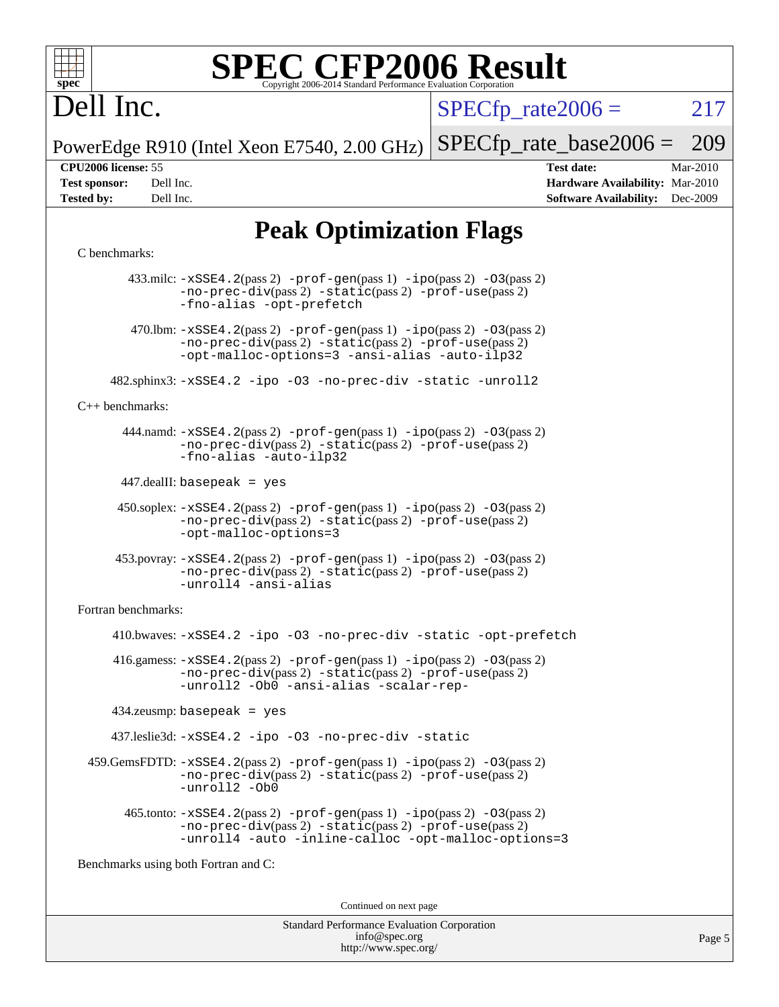

## Dell Inc.

 $SPECTp\_rate2006 = 217$ 

PowerEdge R910 (Intel Xeon E7540, 2.00 GHz) [SPECfp\\_rate\\_base2006 =](http://www.spec.org/auto/cpu2006/Docs/result-fields.html#SPECfpratebase2006) 209

**[CPU2006 license:](http://www.spec.org/auto/cpu2006/Docs/result-fields.html#CPU2006license)** 55 **[Test date:](http://www.spec.org/auto/cpu2006/Docs/result-fields.html#Testdate)** Mar-2010 **[Test sponsor:](http://www.spec.org/auto/cpu2006/Docs/result-fields.html#Testsponsor)** Dell Inc. **[Hardware Availability:](http://www.spec.org/auto/cpu2006/Docs/result-fields.html#HardwareAvailability)** Mar-2010 **[Tested by:](http://www.spec.org/auto/cpu2006/Docs/result-fields.html#Testedby)** Dell Inc. **[Software Availability:](http://www.spec.org/auto/cpu2006/Docs/result-fields.html#SoftwareAvailability)** Dec-2009

### **[Peak Optimization Flags](http://www.spec.org/auto/cpu2006/Docs/result-fields.html#PeakOptimizationFlags)**

#### [C benchmarks](http://www.spec.org/auto/cpu2006/Docs/result-fields.html#Cbenchmarks):

 433.milc: [-xSSE4.2](http://www.spec.org/cpu2006/results/res2010q3/cpu2006-20100621-11920.flags.html#user_peakPASS2_CFLAGSPASS2_LDFLAGS433_milc_f-xSSE42_f91528193cf0b216347adb8b939d4107)(pass 2) [-prof-gen](http://www.spec.org/cpu2006/results/res2010q3/cpu2006-20100621-11920.flags.html#user_peakPASS1_CFLAGSPASS1_LDFLAGS433_milc_prof_gen_e43856698f6ca7b7e442dfd80e94a8fc)(pass 1) [-ipo](http://www.spec.org/cpu2006/results/res2010q3/cpu2006-20100621-11920.flags.html#user_peakPASS2_CFLAGSPASS2_LDFLAGS433_milc_f-ipo)(pass 2) [-O3](http://www.spec.org/cpu2006/results/res2010q3/cpu2006-20100621-11920.flags.html#user_peakPASS2_CFLAGSPASS2_LDFLAGS433_milc_f-O3)(pass 2) [-no-prec-div](http://www.spec.org/cpu2006/results/res2010q3/cpu2006-20100621-11920.flags.html#user_peakPASS2_CFLAGSPASS2_LDFLAGS433_milc_f-no-prec-div)(pass 2) [-static](http://www.spec.org/cpu2006/results/res2010q3/cpu2006-20100621-11920.flags.html#user_peakPASS2_CFLAGSPASS2_LDFLAGS433_milc_f-static)(pass 2) [-prof-use](http://www.spec.org/cpu2006/results/res2010q3/cpu2006-20100621-11920.flags.html#user_peakPASS2_CFLAGSPASS2_LDFLAGS433_milc_prof_use_bccf7792157ff70d64e32fe3e1250b55)(pass 2) [-fno-alias](http://www.spec.org/cpu2006/results/res2010q3/cpu2006-20100621-11920.flags.html#user_peakOPTIMIZE433_milc_f-no-alias_694e77f6c5a51e658e82ccff53a9e63a) [-opt-prefetch](http://www.spec.org/cpu2006/results/res2010q3/cpu2006-20100621-11920.flags.html#user_peakOPTIMIZE433_milc_f-opt-prefetch) 470.1bm:  $-xSSE4$ . 2(pass 2)  $-prof-gen(pass 1) -ipo(pass 2) -O3(pass 2)$  $-prof-gen(pass 1) -ipo(pass 2) -O3(pass 2)$  $-prof-gen(pass 1) -ipo(pass 2) -O3(pass 2)$  $-prof-gen(pass 1) -ipo(pass 2) -O3(pass 2)$  $-prof-gen(pass 1) -ipo(pass 2) -O3(pass 2)$  $-prof-gen(pass 1) -ipo(pass 2) -O3(pass 2)$ [-no-prec-div](http://www.spec.org/cpu2006/results/res2010q3/cpu2006-20100621-11920.flags.html#user_peakPASS2_CFLAGSPASS2_LDFLAGS470_lbm_f-no-prec-div)(pass 2) [-static](http://www.spec.org/cpu2006/results/res2010q3/cpu2006-20100621-11920.flags.html#user_peakPASS2_CFLAGSPASS2_LDFLAGS470_lbm_f-static)(pass 2) [-prof-use](http://www.spec.org/cpu2006/results/res2010q3/cpu2006-20100621-11920.flags.html#user_peakPASS2_CFLAGSPASS2_LDFLAGS470_lbm_prof_use_bccf7792157ff70d64e32fe3e1250b55)(pass 2) [-opt-malloc-options=3](http://www.spec.org/cpu2006/results/res2010q3/cpu2006-20100621-11920.flags.html#user_peakOPTIMIZE470_lbm_f-opt-malloc-options_13ab9b803cf986b4ee62f0a5998c2238) [-ansi-alias](http://www.spec.org/cpu2006/results/res2010q3/cpu2006-20100621-11920.flags.html#user_peakOPTIMIZE470_lbm_f-ansi-alias) [-auto-ilp32](http://www.spec.org/cpu2006/results/res2010q3/cpu2006-20100621-11920.flags.html#user_peakCOPTIMIZE470_lbm_f-auto-ilp32) 482.sphinx3: [-xSSE4.2](http://www.spec.org/cpu2006/results/res2010q3/cpu2006-20100621-11920.flags.html#user_peakOPTIMIZE482_sphinx3_f-xSSE42_f91528193cf0b216347adb8b939d4107) [-ipo](http://www.spec.org/cpu2006/results/res2010q3/cpu2006-20100621-11920.flags.html#user_peakOPTIMIZE482_sphinx3_f-ipo) [-O3](http://www.spec.org/cpu2006/results/res2010q3/cpu2006-20100621-11920.flags.html#user_peakOPTIMIZE482_sphinx3_f-O3) [-no-prec-div](http://www.spec.org/cpu2006/results/res2010q3/cpu2006-20100621-11920.flags.html#user_peakOPTIMIZE482_sphinx3_f-no-prec-div) [-static](http://www.spec.org/cpu2006/results/res2010q3/cpu2006-20100621-11920.flags.html#user_peakOPTIMIZE482_sphinx3_f-static) [-unroll2](http://www.spec.org/cpu2006/results/res2010q3/cpu2006-20100621-11920.flags.html#user_peakCOPTIMIZE482_sphinx3_f-unroll_784dae83bebfb236979b41d2422d7ec2) [C++ benchmarks:](http://www.spec.org/auto/cpu2006/Docs/result-fields.html#CXXbenchmarks) 444.namd: [-xSSE4.2](http://www.spec.org/cpu2006/results/res2010q3/cpu2006-20100621-11920.flags.html#user_peakPASS2_CXXFLAGSPASS2_LDFLAGS444_namd_f-xSSE42_f91528193cf0b216347adb8b939d4107)(pass 2) [-prof-gen](http://www.spec.org/cpu2006/results/res2010q3/cpu2006-20100621-11920.flags.html#user_peakPASS1_CXXFLAGSPASS1_LDFLAGS444_namd_prof_gen_e43856698f6ca7b7e442dfd80e94a8fc)(pass 1) [-ipo](http://www.spec.org/cpu2006/results/res2010q3/cpu2006-20100621-11920.flags.html#user_peakPASS2_CXXFLAGSPASS2_LDFLAGS444_namd_f-ipo)(pass 2) [-O3](http://www.spec.org/cpu2006/results/res2010q3/cpu2006-20100621-11920.flags.html#user_peakPASS2_CXXFLAGSPASS2_LDFLAGS444_namd_f-O3)(pass 2) [-no-prec-div](http://www.spec.org/cpu2006/results/res2010q3/cpu2006-20100621-11920.flags.html#user_peakPASS2_CXXFLAGSPASS2_LDFLAGS444_namd_f-no-prec-div)(pass 2) [-static](http://www.spec.org/cpu2006/results/res2010q3/cpu2006-20100621-11920.flags.html#user_peakPASS2_CXXFLAGSPASS2_LDFLAGS444_namd_f-static)(pass 2) [-prof-use](http://www.spec.org/cpu2006/results/res2010q3/cpu2006-20100621-11920.flags.html#user_peakPASS2_CXXFLAGSPASS2_LDFLAGS444_namd_prof_use_bccf7792157ff70d64e32fe3e1250b55)(pass 2) [-fno-alias](http://www.spec.org/cpu2006/results/res2010q3/cpu2006-20100621-11920.flags.html#user_peakCXXOPTIMIZE444_namd_f-no-alias_694e77f6c5a51e658e82ccff53a9e63a) [-auto-ilp32](http://www.spec.org/cpu2006/results/res2010q3/cpu2006-20100621-11920.flags.html#user_peakCXXOPTIMIZE444_namd_f-auto-ilp32) 447.dealII: basepeak = yes 450.soplex: [-xSSE4.2](http://www.spec.org/cpu2006/results/res2010q3/cpu2006-20100621-11920.flags.html#user_peakPASS2_CXXFLAGSPASS2_LDFLAGS450_soplex_f-xSSE42_f91528193cf0b216347adb8b939d4107)(pass 2) [-prof-gen](http://www.spec.org/cpu2006/results/res2010q3/cpu2006-20100621-11920.flags.html#user_peakPASS1_CXXFLAGSPASS1_LDFLAGS450_soplex_prof_gen_e43856698f6ca7b7e442dfd80e94a8fc)(pass 1) [-ipo](http://www.spec.org/cpu2006/results/res2010q3/cpu2006-20100621-11920.flags.html#user_peakPASS2_CXXFLAGSPASS2_LDFLAGS450_soplex_f-ipo)(pass 2) [-O3](http://www.spec.org/cpu2006/results/res2010q3/cpu2006-20100621-11920.flags.html#user_peakPASS2_CXXFLAGSPASS2_LDFLAGS450_soplex_f-O3)(pass 2) [-no-prec-div](http://www.spec.org/cpu2006/results/res2010q3/cpu2006-20100621-11920.flags.html#user_peakPASS2_CXXFLAGSPASS2_LDFLAGS450_soplex_f-no-prec-div)(pass 2) [-static](http://www.spec.org/cpu2006/results/res2010q3/cpu2006-20100621-11920.flags.html#user_peakPASS2_CXXFLAGSPASS2_LDFLAGS450_soplex_f-static)(pass 2) [-prof-use](http://www.spec.org/cpu2006/results/res2010q3/cpu2006-20100621-11920.flags.html#user_peakPASS2_CXXFLAGSPASS2_LDFLAGS450_soplex_prof_use_bccf7792157ff70d64e32fe3e1250b55)(pass 2) [-opt-malloc-options=3](http://www.spec.org/cpu2006/results/res2010q3/cpu2006-20100621-11920.flags.html#user_peakOPTIMIZE450_soplex_f-opt-malloc-options_13ab9b803cf986b4ee62f0a5998c2238) 453.povray: [-xSSE4.2](http://www.spec.org/cpu2006/results/res2010q3/cpu2006-20100621-11920.flags.html#user_peakPASS2_CXXFLAGSPASS2_LDFLAGS453_povray_f-xSSE42_f91528193cf0b216347adb8b939d4107)(pass 2) [-prof-gen](http://www.spec.org/cpu2006/results/res2010q3/cpu2006-20100621-11920.flags.html#user_peakPASS1_CXXFLAGSPASS1_LDFLAGS453_povray_prof_gen_e43856698f6ca7b7e442dfd80e94a8fc)(pass 1) [-ipo](http://www.spec.org/cpu2006/results/res2010q3/cpu2006-20100621-11920.flags.html#user_peakPASS2_CXXFLAGSPASS2_LDFLAGS453_povray_f-ipo)(pass 2) [-O3](http://www.spec.org/cpu2006/results/res2010q3/cpu2006-20100621-11920.flags.html#user_peakPASS2_CXXFLAGSPASS2_LDFLAGS453_povray_f-O3)(pass 2) [-no-prec-div](http://www.spec.org/cpu2006/results/res2010q3/cpu2006-20100621-11920.flags.html#user_peakPASS2_CXXFLAGSPASS2_LDFLAGS453_povray_f-no-prec-div)(pass 2) [-static](http://www.spec.org/cpu2006/results/res2010q3/cpu2006-20100621-11920.flags.html#user_peakPASS2_CXXFLAGSPASS2_LDFLAGS453_povray_f-static)(pass 2) [-prof-use](http://www.spec.org/cpu2006/results/res2010q3/cpu2006-20100621-11920.flags.html#user_peakPASS2_CXXFLAGSPASS2_LDFLAGS453_povray_prof_use_bccf7792157ff70d64e32fe3e1250b55)(pass 2) [-unroll4](http://www.spec.org/cpu2006/results/res2010q3/cpu2006-20100621-11920.flags.html#user_peakCXXOPTIMIZE453_povray_f-unroll_4e5e4ed65b7fd20bdcd365bec371b81f) [-ansi-alias](http://www.spec.org/cpu2006/results/res2010q3/cpu2006-20100621-11920.flags.html#user_peakCXXOPTIMIZE453_povray_f-ansi-alias) [Fortran benchmarks](http://www.spec.org/auto/cpu2006/Docs/result-fields.html#Fortranbenchmarks): 410.bwaves: [-xSSE4.2](http://www.spec.org/cpu2006/results/res2010q3/cpu2006-20100621-11920.flags.html#user_peakOPTIMIZE410_bwaves_f-xSSE42_f91528193cf0b216347adb8b939d4107) [-ipo](http://www.spec.org/cpu2006/results/res2010q3/cpu2006-20100621-11920.flags.html#user_peakOPTIMIZE410_bwaves_f-ipo) [-O3](http://www.spec.org/cpu2006/results/res2010q3/cpu2006-20100621-11920.flags.html#user_peakOPTIMIZE410_bwaves_f-O3) [-no-prec-div](http://www.spec.org/cpu2006/results/res2010q3/cpu2006-20100621-11920.flags.html#user_peakOPTIMIZE410_bwaves_f-no-prec-div) [-static](http://www.spec.org/cpu2006/results/res2010q3/cpu2006-20100621-11920.flags.html#user_peakOPTIMIZE410_bwaves_f-static) [-opt-prefetch](http://www.spec.org/cpu2006/results/res2010q3/cpu2006-20100621-11920.flags.html#user_peakOPTIMIZE410_bwaves_f-opt-prefetch)  $416$ .gamess:  $-xSSE4$ .  $2(pass 2)$  -prof-qen(pass 1) [-ipo](http://www.spec.org/cpu2006/results/res2010q3/cpu2006-20100621-11920.flags.html#user_peakPASS2_FFLAGSPASS2_LDFLAGS416_gamess_f-ipo)(pass 2) -03(pass 2) [-no-prec-div](http://www.spec.org/cpu2006/results/res2010q3/cpu2006-20100621-11920.flags.html#user_peakPASS2_FFLAGSPASS2_LDFLAGS416_gamess_f-no-prec-div)(pass 2) [-static](http://www.spec.org/cpu2006/results/res2010q3/cpu2006-20100621-11920.flags.html#user_peakPASS2_FFLAGSPASS2_LDFLAGS416_gamess_f-static)(pass 2) [-prof-use](http://www.spec.org/cpu2006/results/res2010q3/cpu2006-20100621-11920.flags.html#user_peakPASS2_FFLAGSPASS2_LDFLAGS416_gamess_prof_use_bccf7792157ff70d64e32fe3e1250b55)(pass 2) [-unroll2](http://www.spec.org/cpu2006/results/res2010q3/cpu2006-20100621-11920.flags.html#user_peakOPTIMIZE416_gamess_f-unroll_784dae83bebfb236979b41d2422d7ec2) [-Ob0](http://www.spec.org/cpu2006/results/res2010q3/cpu2006-20100621-11920.flags.html#user_peakOPTIMIZE416_gamess_f-Ob_n_fbe6f6428adb7d4b74b1e99bb2444c2d) [-ansi-alias](http://www.spec.org/cpu2006/results/res2010q3/cpu2006-20100621-11920.flags.html#user_peakOPTIMIZE416_gamess_f-ansi-alias) [-scalar-rep-](http://www.spec.org/cpu2006/results/res2010q3/cpu2006-20100621-11920.flags.html#user_peakOPTIMIZE416_gamess_f-disablescalarrep_abbcad04450fb118e4809c81d83c8a1d) 434.zeusmp: basepeak = yes 437.leslie3d: [-xSSE4.2](http://www.spec.org/cpu2006/results/res2010q3/cpu2006-20100621-11920.flags.html#user_peakOPTIMIZE437_leslie3d_f-xSSE42_f91528193cf0b216347adb8b939d4107) [-ipo](http://www.spec.org/cpu2006/results/res2010q3/cpu2006-20100621-11920.flags.html#user_peakOPTIMIZE437_leslie3d_f-ipo) [-O3](http://www.spec.org/cpu2006/results/res2010q3/cpu2006-20100621-11920.flags.html#user_peakOPTIMIZE437_leslie3d_f-O3) [-no-prec-div](http://www.spec.org/cpu2006/results/res2010q3/cpu2006-20100621-11920.flags.html#user_peakOPTIMIZE437_leslie3d_f-no-prec-div) [-static](http://www.spec.org/cpu2006/results/res2010q3/cpu2006-20100621-11920.flags.html#user_peakOPTIMIZE437_leslie3d_f-static) 459.GemsFDTD: [-xSSE4.2](http://www.spec.org/cpu2006/results/res2010q3/cpu2006-20100621-11920.flags.html#user_peakPASS2_FFLAGSPASS2_LDFLAGS459_GemsFDTD_f-xSSE42_f91528193cf0b216347adb8b939d4107)(pass 2) [-prof-gen](http://www.spec.org/cpu2006/results/res2010q3/cpu2006-20100621-11920.flags.html#user_peakPASS1_FFLAGSPASS1_LDFLAGS459_GemsFDTD_prof_gen_e43856698f6ca7b7e442dfd80e94a8fc)(pass 1) [-ipo](http://www.spec.org/cpu2006/results/res2010q3/cpu2006-20100621-11920.flags.html#user_peakPASS2_FFLAGSPASS2_LDFLAGS459_GemsFDTD_f-ipo)(pass 2) [-O3](http://www.spec.org/cpu2006/results/res2010q3/cpu2006-20100621-11920.flags.html#user_peakPASS2_FFLAGSPASS2_LDFLAGS459_GemsFDTD_f-O3)(pass 2) [-no-prec-div](http://www.spec.org/cpu2006/results/res2010q3/cpu2006-20100621-11920.flags.html#user_peakPASS2_FFLAGSPASS2_LDFLAGS459_GemsFDTD_f-no-prec-div)(pass 2) [-static](http://www.spec.org/cpu2006/results/res2010q3/cpu2006-20100621-11920.flags.html#user_peakPASS2_FFLAGSPASS2_LDFLAGS459_GemsFDTD_f-static)(pass 2) [-prof-use](http://www.spec.org/cpu2006/results/res2010q3/cpu2006-20100621-11920.flags.html#user_peakPASS2_FFLAGSPASS2_LDFLAGS459_GemsFDTD_prof_use_bccf7792157ff70d64e32fe3e1250b55)(pass 2) [-unroll2](http://www.spec.org/cpu2006/results/res2010q3/cpu2006-20100621-11920.flags.html#user_peakOPTIMIZE459_GemsFDTD_f-unroll_784dae83bebfb236979b41d2422d7ec2) [-Ob0](http://www.spec.org/cpu2006/results/res2010q3/cpu2006-20100621-11920.flags.html#user_peakOPTIMIZE459_GemsFDTD_f-Ob_n_fbe6f6428adb7d4b74b1e99bb2444c2d)  $465$ .tonto:  $-xSSE4$ .  $2(pass 2)$  [-prof-gen](http://www.spec.org/cpu2006/results/res2010q3/cpu2006-20100621-11920.flags.html#user_peakPASS1_FFLAGSPASS1_LDFLAGS465_tonto_prof_gen_e43856698f6ca7b7e442dfd80e94a8fc)(pass 1) [-ipo](http://www.spec.org/cpu2006/results/res2010q3/cpu2006-20100621-11920.flags.html#user_peakPASS2_FFLAGSPASS2_LDFLAGS465_tonto_f-ipo)(pass 2) [-O3](http://www.spec.org/cpu2006/results/res2010q3/cpu2006-20100621-11920.flags.html#user_peakPASS2_FFLAGSPASS2_LDFLAGS465_tonto_f-O3)(pass 2) [-no-prec-div](http://www.spec.org/cpu2006/results/res2010q3/cpu2006-20100621-11920.flags.html#user_peakPASS2_FFLAGSPASS2_LDFLAGS465_tonto_f-no-prec-div)(pass 2) [-static](http://www.spec.org/cpu2006/results/res2010q3/cpu2006-20100621-11920.flags.html#user_peakPASS2_FFLAGSPASS2_LDFLAGS465_tonto_f-static)(pass 2) [-prof-use](http://www.spec.org/cpu2006/results/res2010q3/cpu2006-20100621-11920.flags.html#user_peakPASS2_FFLAGSPASS2_LDFLAGS465_tonto_prof_use_bccf7792157ff70d64e32fe3e1250b55)(pass 2) [-unroll4](http://www.spec.org/cpu2006/results/res2010q3/cpu2006-20100621-11920.flags.html#user_peakOPTIMIZE465_tonto_f-unroll_4e5e4ed65b7fd20bdcd365bec371b81f) [-auto](http://www.spec.org/cpu2006/results/res2010q3/cpu2006-20100621-11920.flags.html#user_peakOPTIMIZE465_tonto_f-auto) [-inline-calloc](http://www.spec.org/cpu2006/results/res2010q3/cpu2006-20100621-11920.flags.html#user_peakOPTIMIZE465_tonto_f-inline-calloc) [-opt-malloc-options=3](http://www.spec.org/cpu2006/results/res2010q3/cpu2006-20100621-11920.flags.html#user_peakOPTIMIZE465_tonto_f-opt-malloc-options_13ab9b803cf986b4ee62f0a5998c2238) [Benchmarks using both Fortran and C](http://www.spec.org/auto/cpu2006/Docs/result-fields.html#BenchmarksusingbothFortranandC): Continued on next page